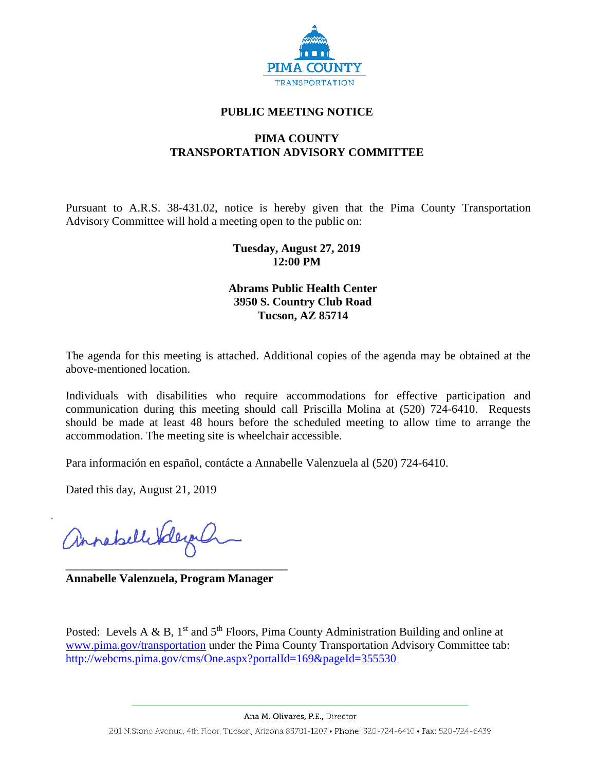

## **PUBLIC MEETING NOTICE**

# **PIMA COUNTY TRANSPORTATION ADVISORY COMMITTEE**

Pursuant to A.R.S. 38-431.02, notice is hereby given that the Pima County Transportation Advisory Committee will hold a meeting open to the public on:

## **Tuesday, August 27, 2019 12:00 PM**

# **Abrams Public Health Center 3950 S. Country Club Road Tucson, AZ 85714**

The agenda for this meeting is attached. Additional copies of the agenda may be obtained at the above-mentioned location.

Individuals with disabilities who require accommodations for effective participation and communication during this meeting should call Priscilla Molina at (520) 724-6410. Requests should be made at least 48 hours before the scheduled meeting to allow time to arrange the accommodation. The meeting site is wheelchair accessible.

Para información en español, contácte a Annabelle Valenzuela al (520) 724-6410.

Dated this day, August 21, 2019

annabellitely

**\_\_\_\_\_\_\_\_\_\_\_\_\_\_\_\_\_\_\_\_\_\_\_\_\_\_\_\_\_\_\_\_\_\_\_\_\_\_ Annabelle Valenzuela, Program Manager**

Posted: Levels A & B,  $1<sup>st</sup>$  and  $5<sup>th</sup>$  Floors, Pima County Administration Building and online at [www.pima.gov/transportation](http://www.pima.gov/transportation) under the Pima County Transportation Advisory Committee tab: <http://webcms.pima.gov/cms/One.aspx?portalId=169&pageId=355530>